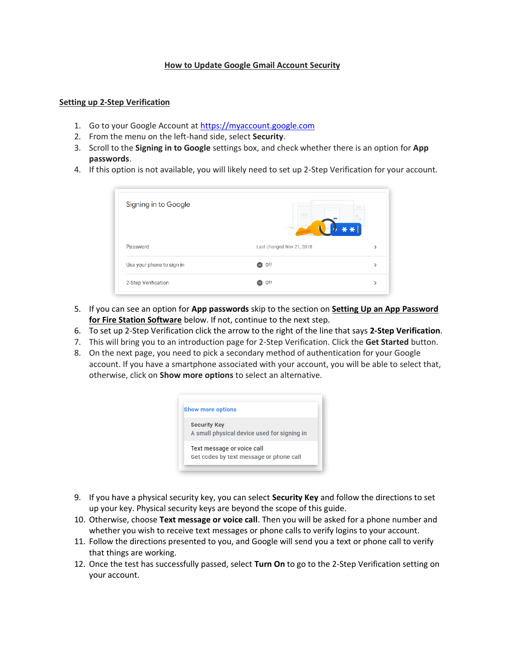## **How to Update Google Gmail Account Security**

## **Setting up 2-Step Verification**

- 1. Go to your Google Account at [https://myaccount.google.com](https://myaccount.google.com/)
- 2. From the menu on the left-hand side, select **Security**.
- 3. Scroll to the **Signing in to Google** settings box, and check whether there is an option for **App passwords**.
- 4. If this option is not available, you will likely need to set up 2-Step Verification for your account.

| Signing in to Google      | M                         | $\frac{1}{2} \left( \frac{1}{2} \right) \left( \frac{1}{2} \right) \left( \frac{1}{2} \right) \left( \frac{1}{2} \right) \left( \frac{1}{2} \right) \left( \frac{1}{2} \right) \left( \frac{1}{2} \right) \left( \frac{1}{2} \right) \left( \frac{1}{2} \right) \left( \frac{1}{2} \right) \left( \frac{1}{2} \right) \left( \frac{1}{2} \right) \left( \frac{1}{2} \right) \left( \frac{1}{2} \right) \left( \frac{1}{2} \right) \left( \frac{1}{2} \right) \left( \frac$ |
|---------------------------|---------------------------|----------------------------------------------------------------------------------------------------------------------------------------------------------------------------------------------------------------------------------------------------------------------------------------------------------------------------------------------------------------------------------------------------------------------------------------------------------------------------|
| Password                  | Last changed Nov 21, 2018 | ⋋                                                                                                                                                                                                                                                                                                                                                                                                                                                                          |
| Use your phone to sign in | Off                       | ⋋                                                                                                                                                                                                                                                                                                                                                                                                                                                                          |
| 2-Step Verification       | Off                       | ⋋                                                                                                                                                                                                                                                                                                                                                                                                                                                                          |

- 5. If you can see an option for **App passwords** skip to the section on **Setting Up an App Password for Fire Station Software** below. If not, continue to the next step.
- 6. To set up 2-Step Verification click the arrow to the right of the line that says **2-Step Verification***.*
- 7. This will bring you to an introduction page for 2-Step Verification. Click the **Get Started** button.
- 8. On the next page, you need to pick a secondary method of authentication for your Google account. If you have a smartphone associated with your account, you will be able to select that, otherwise, click on **Show more options** to select an alternative.

|                     | <b>Show more options</b>                                              |
|---------------------|-----------------------------------------------------------------------|
| <b>Security Key</b> | A small physical device used for signing in                           |
|                     | Text message or voice call<br>Get codes by text message or phone call |

- 9. If you have a physical security key, you can select **Security Key** and follow the directions to set up your key. Physical security keys are beyond the scope of this guide.
- 10. Otherwise, choose **Text message or voice call**. Then you will be asked for a phone number and whether you wish to receive text messages or phone calls to verify logins to your account.
- 11. Follow the directions presented to you, and Google will send you a text or phone call to verify that things are working.
- 12. Once the test has successfully passed, select **Turn On** to go to the 2-Step Verification setting on your account.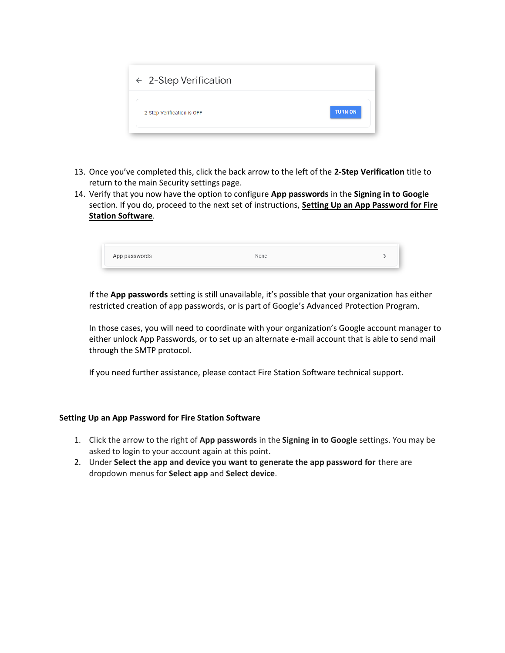| $\leftarrow$ 2-Step Verification |                |
|----------------------------------|----------------|
| 2-Step Verification is OFF       | <b>TURN ON</b> |

- 13. Once you've completed this, click the back arrow to the left of the **2-Step Verification** title to return to the main Security settings page.
- 14. Verify that you now have the option to configure **App passwords** in the **Signing in to Google** section. If you do, proceed to the next set of instructions, **Setting Up an App Password for Fire Station Software**.

| App passwords<br>one |
|----------------------|
|----------------------|

If the **App passwords** setting is still unavailable, it's possible that your organization has either restricted creation of app passwords, or is part of Google's Advanced Protection Program.

In those cases, you will need to coordinate with your organization's Google account manager to either unlock App Passwords, or to set up an alternate e-mail account that is able to send mail through the SMTP protocol.

If you need further assistance, please contact Fire Station Software technical support.

## **Setting Up an App Password for Fire Station Software**

- 1. Click the arrow to the right of **App passwords** in the **Signing in to Google** settings. You may be asked to login to your account again at this point.
- 2. Under **Select the app and device you want to generate the app password for** there are dropdown menus for **Select app** and **Select device**.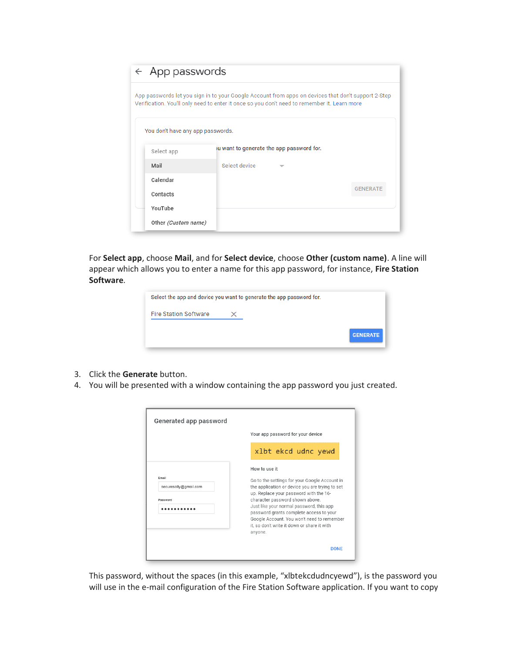| $\leftarrow$ App passwords        |                                                                                                                                                                                                     |                 |
|-----------------------------------|-----------------------------------------------------------------------------------------------------------------------------------------------------------------------------------------------------|-----------------|
|                                   | App passwords let you sign in to your Google Account from apps on devices that don't support 2-Step<br>Verification. You'll only need to enter it once so you don't need to remember it. Learn more |                 |
|                                   |                                                                                                                                                                                                     |                 |
| You don't have any app passwords. |                                                                                                                                                                                                     |                 |
| Select app                        | ou want to generate the app password for.                                                                                                                                                           |                 |
| Mail                              | Select device                                                                                                                                                                                       |                 |
| Calendar                          |                                                                                                                                                                                                     |                 |
| Contacts                          |                                                                                                                                                                                                     | <b>GENERATE</b> |
| YouTube                           |                                                                                                                                                                                                     |                 |
|                                   |                                                                                                                                                                                                     |                 |

For **Select app**, choose **Mail**, and for **Select device**, choose **Other (custom name)**. A line will appear which allows you to enter a name for this app password, for instance, **Fire Station Software***.* 

| Select the app and device you want to generate the app password for. |  |                 |
|----------------------------------------------------------------------|--|-----------------|
| <b>Fire Station Software</b>                                         |  |                 |
|                                                                      |  | <b>GENERATE</b> |

- 3. Click the **Generate** button.
- 4. You will be presented with a window containing the app password you just created.

| How to use it<br>securesally@gmail.com |                   | Your app password for your device                                                                                                                                                                                                                                                                                                                                 |
|----------------------------------------|-------------------|-------------------------------------------------------------------------------------------------------------------------------------------------------------------------------------------------------------------------------------------------------------------------------------------------------------------------------------------------------------------|
|                                        |                   | xlbt ekcd udnc yewd                                                                                                                                                                                                                                                                                                                                               |
| anvone.                                | Email<br>Password | Go to the settings for your Google Account in<br>the application or device you are trying to set<br>up. Replace your password with the 16-<br>character password shown above.<br>Just like your normal password, this app<br>password grants complete access to your<br>Google Account. You won't need to remember<br>it, so don't write it down or share it with |

This password, without the spaces (in this example, "xlbtekcdudncyewd"), is the password you will use in the e-mail configuration of the Fire Station Software application. If you want to copy